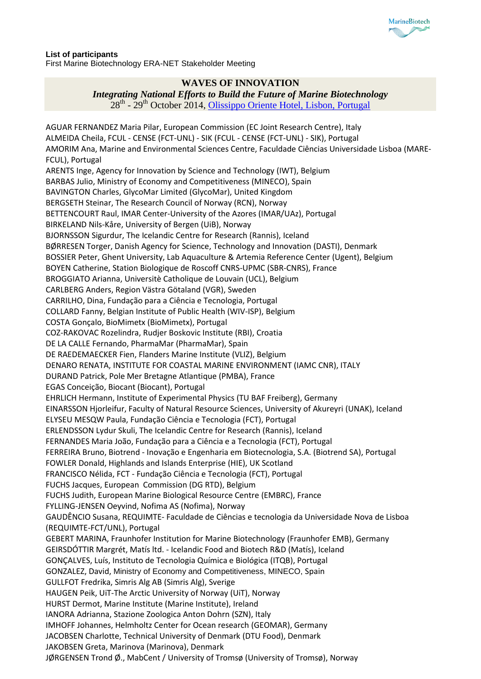

## **List of participants** First Marine Biotechnology ERA-NET Stakeholder Meeting

## **WAVES OF INNOVATION**

## *Integrating National Efforts to Build the Future of Marine Biotechnology*

28<sup>th</sup> - 29<sup>th</sup> October 2014, [Olissippo Oriente Hotel, Lisbon, Portugal](http://www.olissippohotels.com/pt/Grupo/Hoteis-Olissippo/Oriente/O-Hotel.aspx)

AGUAR FERNANDEZ Maria Pilar, European Commission (EC Joint Research Centre), Italy ALMEIDA Cheila, FCUL - CENSE (FCT-UNL) - SIK (FCUL - CENSE (FCT-UNL) - SIK), Portugal AMORIM Ana, Marine and Environmental Sciences Centre, Faculdade Ciências Universidade Lisboa (MARE-FCUL), Portugal ARENTS Inge, Agency for Innovation by Science and Technology (IWT), Belgium BARBAS Julio, Ministry of Economy and Competitiveness (MINECO), Spain BAVINGTON Charles, GlycoMar Limited (GlycoMar), United Kingdom BERGSETH Steinar, The Research Council of Norway (RCN), Norway BETTENCOURT Raul, IMAR Center-University of the Azores (IMAR/UAz), Portugal BIRKELAND Nils-Kåre, University of Bergen (UiB), Norway BJORNSSON Sigurdur, The Icelandic Centre for Research (Rannis), Iceland BØRRESEN Torger, Danish Agency for Science, Technology and Innovation (DASTI), Denmark BOSSIER Peter, Ghent University, Lab Aquaculture & Artemia Reference Center (Ugent), Belgium BOYEN Catherine, Station Biologique de Roscoff CNRS-UPMC (SBR-CNRS), France BROGGIATO Arianna, Universitè Catholique de Louvain (UCL), Belgium CARLBERG Anders, Region Västra Götaland (VGR), Sweden CARRILHO, Dina, Fundação para a Ciência e Tecnologia, Portugal COLLARD Fanny, Belgian Institute of Public Health (WIV-ISP), Belgium COSTA Gonçalo, BioMimetx (BioMimetx), Portugal COZ-RAKOVAC Rozelindra, Rudjer Boskovic Institute (RBI), Croatia DE LA CALLE Fernando, PharmaMar (PharmaMar), Spain DE RAEDEMAECKER Fien, Flanders Marine Institute (VLIZ), Belgium DENARO RENATA, INSTITUTE FOR COASTAL MARINE ENVIRONMENT (IAMC CNR), ITALY DURAND Patrick, Pole Mer Bretagne Atlantique (PMBA), France EGAS Conceição, Biocant (Biocant), Portugal EHRLICH Hermann, Institute of Experimental Physics (TU BAF Freiberg), Germany EINARSSON Hjorleifur, Faculty of Natural Resource Sciences, University of Akureyri (UNAK), Iceland ELYSEU MESQW Paula, Fundação Ciência e Tecnologia (FCT), Portugal ERLENDSSON Lydur Skuli, The Icelandic Centre for Research (Rannis), Iceland FERNANDES Maria João, Fundação para a Ciência e a Tecnologia (FCT), Portugal FERREIRA Bruno, Biotrend - Inovação e Engenharia em Biotecnologia, S.A. (Biotrend SA), Portugal FOWLER Donald, Highlands and Islands Enterprise (HIE), UK Scotland FRANCISCO Nélida, FCT - Fundação Ciência e Tecnologia (FCT), Portugal FUCHS Jacques, European Commission (DG RTD), Belgium FUCHS Judith, European Marine Biological Resource Centre (EMBRC), France FYLLING-JENSEN Oeyvind, Nofima AS (Nofima), Norway GAUDÊNCIO Susana, REQUIMTE- Faculdade de Ciências e tecnologia da Universidade Nova de Lisboa (REQUIMTE-FCT/UNL), Portugal GEBERT MARINA, Fraunhofer Institution for Marine Biotechnology (Fraunhofer EMB), Germany GEIRSDÓTTIR Margrét, Matís ltd. - Icelandic Food and Biotech R&D (Matís), Iceland GONÇALVES, Luís, Instituto de Tecnologia Química e Biológica (ITQB), Portugal GONZALEZ, David, Ministry of Economy and Competitiveness, MINECO, Spain GULLFOT Fredrika, Simris Alg AB (Simris Alg), Sverige HAUGEN Peik, UiT-The Arctic University of Norway (UiT), Norway HURST Dermot, Marine Institute (Marine Institute), Ireland IANORA Adrianna, Stazione Zoologica Anton Dohrn (SZN), Italy IMHOFF Johannes, Helmholtz Center for Ocean research (GEOMAR), Germany JACOBSEN Charlotte, Technical University of Denmark (DTU Food), Denmark JAKOBSEN Greta, Marinova (Marinova), Denmark JØRGENSEN Trond Ø., MabCent / University of Tromsø (University of Tromsø), Norway